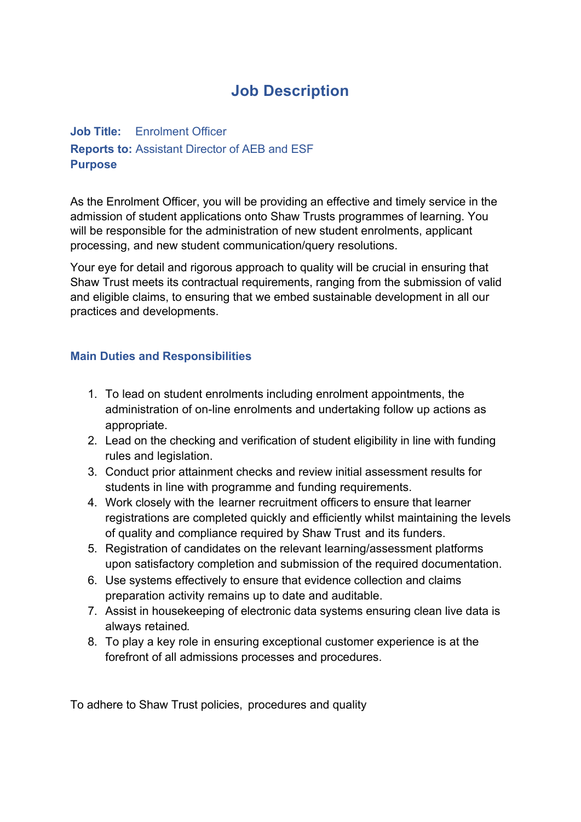## **Job Description**

## **Job Title:** Enrolment Officer **Reports to:** Assistant Director of AEB and ESF **Purpose**

As the Enrolment Officer, you will be providing an effective and timely service in the admission of student applications onto Shaw Trusts programmes of learning. You will be responsible for the administration of new student enrolments, applicant processing, and new student communication/query resolutions.

Your eye for detail and rigorous approach to quality will be crucial in ensuring that Shaw Trust meets its contractual requirements, ranging from the submission of valid and eligible claims, to ensuring that we embed sustainable development in all our practices and developments.

## **Main Duties and Responsibilities**

- 1. To lead on student enrolments including enrolment appointments, the administration of on-line enrolments and undertaking follow up actions as appropriate.
- 2. Lead on the checking and verification of student eligibility in line with funding rules and legislation.
- 3. Conduct prior attainment checks and review initial assessment results for students in line with programme and funding requirements.
- 4. Work closely with the learner recruitment officers to ensure that learner registrations are completed quickly and efficiently whilst maintaining the levels of quality and compliance required by Shaw Trust and its funders.
- 5. Registration of candidates on the relevant learning/assessment platforms upon satisfactory completion and submission of the required documentation.
- 6. Use systems effectively to ensure that evidence collection and claims preparation activity remains up to date and auditable.
- 7. Assist in housekeeping of electronic data systems ensuring clean live data is always retained.
- 8. To play a key role in ensuring exceptional customer experience is at the forefront of all admissions processes and procedures.

To adhere to Shaw Trust policies, procedures and quality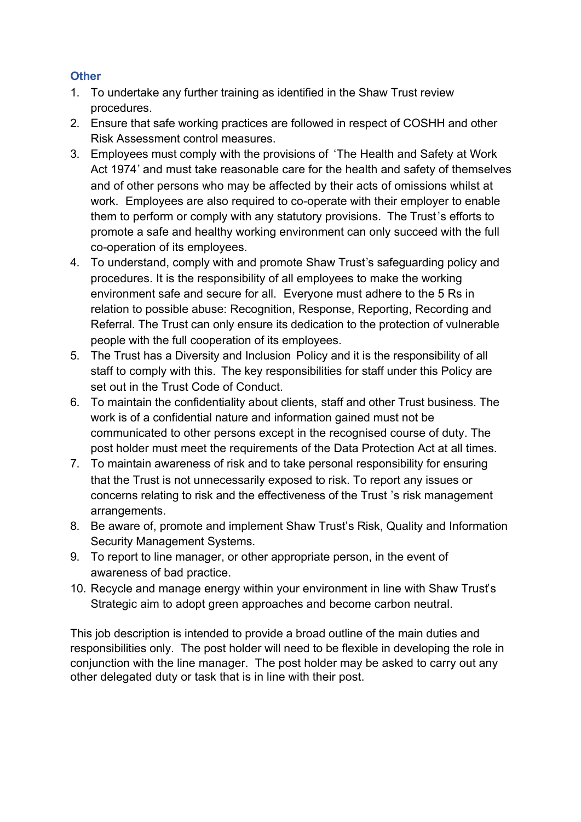## **Other**

- 1. To undertake any further training as identified in the Shaw Trust review procedures.
- 2. Ensure that safe working practices are followed in respect of COSHH and other Risk Assessment control measures.
- 3. Employees must comply with the provisions of 'The Health and Safety at Work Act 1974' and must take reasonable care for the health and safety of themselves and of other persons who may be affected by their acts of omissions whilst at work. Employees are also required to co-operate with their employer to enable them to perform or comply with any statutory provisions. The Trust's efforts to promote a safe and healthy working environment can only succeed with the full co-operation of its employees.
- 4. To understand, comply with and promote Shaw Trust's safeguarding policy and procedures. It is the responsibility of all employees to make the working environment safe and secure for all. Everyone must adhere to the 5 Rs in relation to possible abuse: Recognition, Response, Reporting, Recording and Referral. The Trust can only ensure its dedication to the protection of vulnerable people with the full cooperation of its employees.
- 5. The Trust has a Diversity and Inclusion Policy and it is the responsibility of all staff to comply with this. The key responsibilities for staff under this Policy are set out in the Trust Code of Conduct.
- 6. To maintain the confidentiality about clients, staff and other Trust business. The work is of a confidential nature and information gained must not be communicated to other persons except in the recognised course of duty. The post holder must meet the requirements of the Data Protection Act at all times.
- 7. To maintain awareness of risk and to take personal responsibility for ensuring that the Trust is not unnecessarily exposed to risk. To report any issues or concerns relating to risk and the effectiveness of the Trust 's risk management arrangements.
- 8. Be aware of, promote and implement Shaw Trust's Risk, Quality and Information Security Management Systems.
- 9. To report to line manager, or other appropriate person, in the event of awareness of bad practice.
- 10. Recycle and manage energy within your environment in line with Shaw Trust's Strategic aim to adopt green approaches and become carbon neutral.

This job description is intended to provide a broad outline of the main duties and responsibilities only. The post holder will need to be flexible in developing the role in conjunction with the line manager. The post holder may be asked to carry out any other delegated duty or task that is in line with their post.